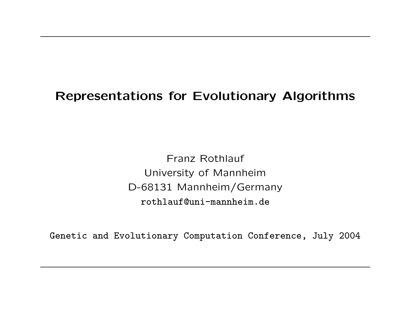# Representations for Evolutionary Algorithms

Franz Rothlauf University of Mannheim D-68131 Mannheim/Germany rothlauf@uni-mannheim.de

Genetic and Evolutionary Computation Conference, July 2004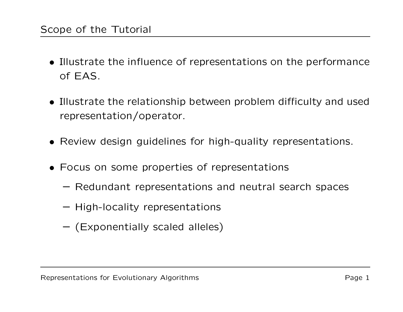- Illustrate the influence of representations on the performance of EAS.
- Illustrate the relationship between problem difficulty and used representation/operator.
- Review design guidelines for high-quality representations.
- Focus on some properties of representations
	- Redundant representations and neutral search spaces
	- High-locality representations
	- (Exponentially scaled alleles)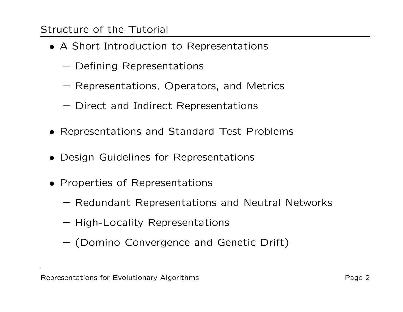## Structure of the Tutorial

- A Short Introduction to Representations
	- Defining Representations
	- Representations, Operators, and Metrics
	- Direct and Indirect Representations
- Representations and Standard Test Problems
- Design Guidelines for Representations
- Properties of Representations
	- Redundant Representations and Neutral Networks
	- High-Locality Representations
	- (Domino Convergence and Genetic Drift)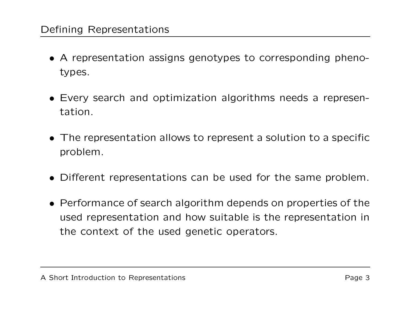## Defining Representations

- A representation assigns genotypes to corresponding phenotypes.
- Every search and optimization algorithms needs <sup>a</sup> representation.
- The representation allows to represent <sup>a</sup> solution to <sup>a</sup> specific problem.
- Different representations can be used for the same problem.
- Performance of search algorithm depends on properties of the used representation and how suitable is the representation in the context of the used genetic operators.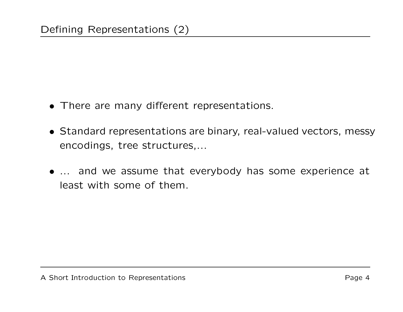- There are many different representations.
- Standard representations are binary, real-valued vectors, messy encodings, tree structures,...
- ... and we assume that everybody has some experience at least with some of them.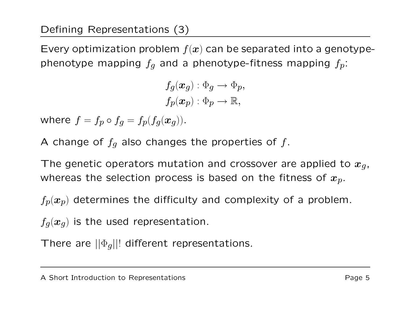Every optimization problem  $f(x)$  can be separated into a genotypephenotype mapping  $f_q$  and a phenotype-fitness mapping  $f_p$ :

> $f_g(x_g) : \Phi_g \to \Phi_p$  $f_p(\boldsymbol{x}_p) : \Phi_p \longrightarrow \mathbb{R},$

where  $f=f_p\circ f_g=f_p(f_g(\bm{x}_g))$ .

A change of  $f_g$  also changes the properties of  $f$ .

The genetic operators mutation and crossover are applied to  $x_g$ , whereas the selection process is based on the fitness of  $\pmb{x}_p.$ 

 $f_p(x_p)$  determines the difficulty and complexity of a problem.

 $f_q(x_q)$  is the used representation.

There are  $||\Phi_g||!$  different representations.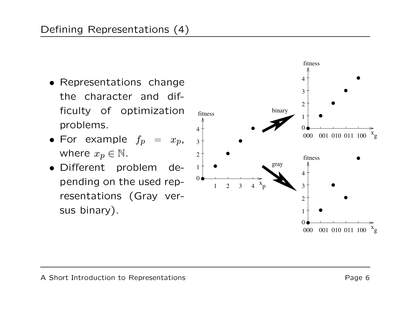- Representations change the character and difficulty of optimization problems.
- $\bullet$  For example  $f_p$  =  $x_p$ , where  $x_p \in \mathbb{N}$ .
- Different problem depending on the used representations (Gray versus binary).  $\begin{array}{cccc} \text{string on the used rep-} & & & & 1 & 2 & 3 & 4 \ \text{sentations} & \text{Gray} & \text{ver-} & & & \ \text{s binary).} & & & & \end{array}$

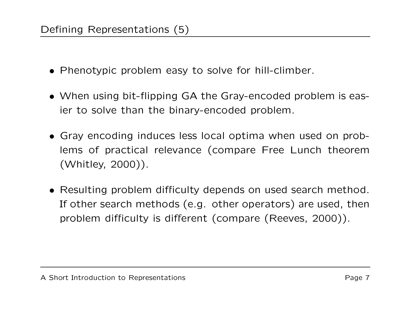- Phenotypic problem easy to solve for hill-climber.
- When using bit-flipping GA the Gray-encoded problem is easier to solve than the binary-encoded problem.
- Gray encoding induces less local optima when used on problems of practical relevance (compare Free Lunch theorem (Whitley, 2000)).
- Resulting problem difficulty depends on used search method. If other search methods (e.g. other operators) are used, then problem difficulty is different (compare (Reeves, 2000)).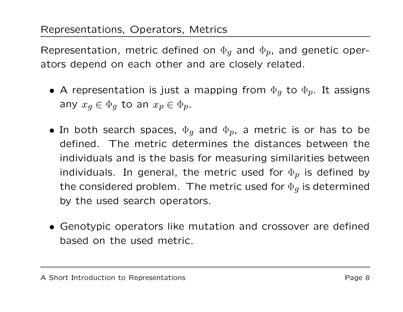Representation, metric defined on  $\Phi_{q}$  and  $\Phi_{p}$ , and genetic operators depend on each other and are closely related.

- $\bullet$  A representation is just a mapping from  $\Phi_{\boldsymbol{g}}$  to  $\Phi_{\boldsymbol{p}}.$  It assigns any  $x_q \in \Phi_q$  to an  $x_p \in \Phi_p$ .
- $\bullet$  In both search spaces,  $\Phi_{\bm g}$  and  $\Phi_{\bm p}$ , a metric is or has to be defined. The metric determines the distances between the individuals and is the basis for measuring similarities between individuals. In general, the metric used for  $\Phi_{\bm p}$  is defined by the considered problem. The metric used for  $\Phi_{\boldsymbol{g}}$  is determined by the used search operators.
- Genotypic operators like mutation and crossover are defined based on the used metric.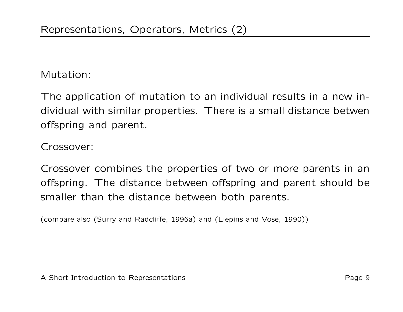Mutation:

The application of mutation to an individual results in <sup>a</sup> new individual with similar properties. There is <sup>a</sup> small distance betwen offspring and parent.

Crossover:

Crossover combines the properties of two or more parents in an offspring. The distance between offspring and parent should be smaller than the distance between both parents.

(compare also (Surry and Radcliffe, 1996a) and (Liepins and Vose, 1990))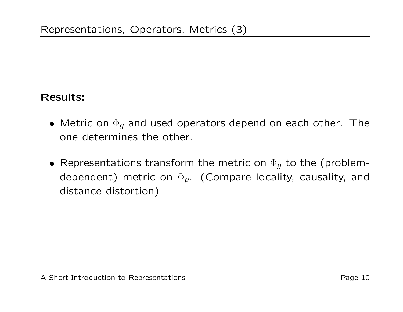# Results:

- $\bullet\,$  Metric on  $\Phi_{\boldsymbol{g}}$  and used operators depend on each other. The one determines the other.
- Representations transform the metric on  $\Phi_{g}$  to the (problemdependent) metric on  $\Phi_p$ . (Compare locality, causality, and distance distortion)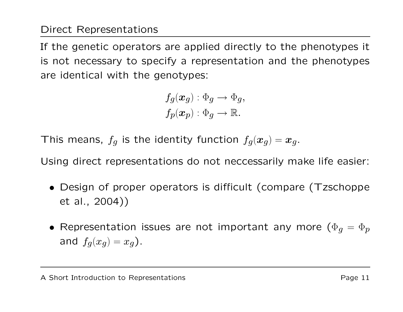If the genetic operators are applied directly to the phenotypes it is not necessary to specify <sup>a</sup> representation and the phenotypes are identical with the genotypes:

$$
f_g(\bm{x}_g): \Phi_g \to \Phi_g,
$$
  

$$
f_p(\bm{x}_p): \Phi_g \to \mathbb{R}.
$$

This means,  $f_g$  is the identity function  $f_g(\boldsymbol{x}_g) = \boldsymbol{x}_g.$ 

Using direct representations do not neccessarily make life easier:

- Design of proper operators is difficult (compare (Tzschoppe et al., 2004))
- $\bullet$  Representation issues are not important any more  $(\Phi_g = \Phi_p)$ and  $f_g(x_g)=x_g$  ).

A Short Introduction to Representations example to the example of  $P$ age 11  $P$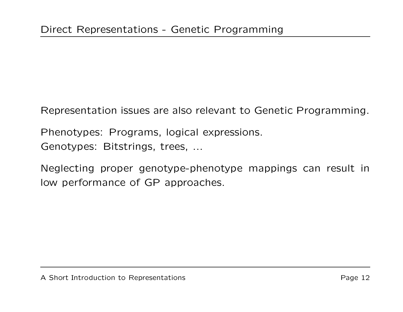Representation issues are also relevant to Genetic Programming.

Phenotypes: Programs, logical expressions.

Genotypes: Bitstrings, trees, ...

Neglecting proper genotype-phenotype mappings can result in low performance of GP approaches.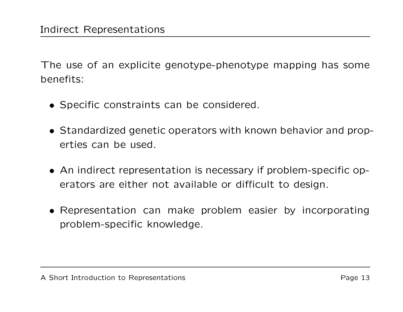The use of an explicite genotype-phenotype mapping has some benefits:

- Specific constraints can be considered.
- Standardized genetic operators with known behavior and properties can be used.
- An indirect representation is necessary if problem-specific operators are either not available or difficult to design.
- Representation can make problem easier by incorporating problem-specific knowledge.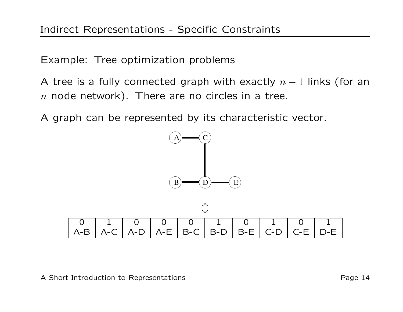Example: Tree optimization problems

A tree is a fully connected graph with exactly  $n-1$  links (for an  $\,n\,$  node network). There are no circles in a tree.

A graph can be represented by its characteristic vector.



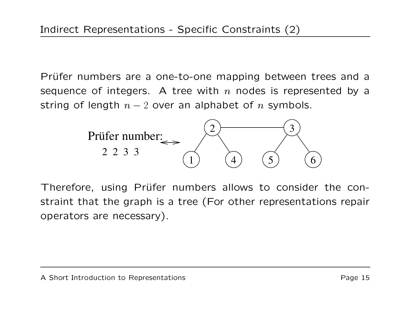Prüfer numbers are a one-to-one mapping between trees and a sequence of integers. A tree with  $n$  nodes is represented by a string of length  $n-2$  over an alphabet of n symbols.



Therefore, using Prüfer numbers allows to consider the constraint that the graph is <sup>a</sup> tree (For other representations repair operators are necessary).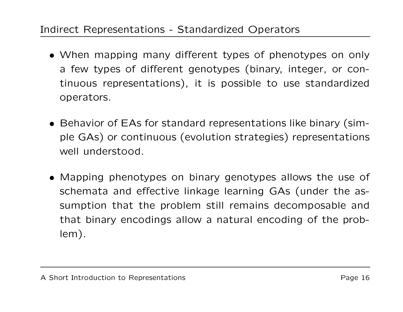## Indirect Representations - Standardized Operators

- When mapping many different types of phenotypes on only a few types of different genotypes (binary, integer, or continuous representations), it is possible to use standardized operators.
- Behavior of EAs for standard representations like binary (simple GAs) or continuous (evolution strategies) representations well understood.
- Mapping phenotypes on binary genotypes allows the use of schemata and effective linkage learning GAs (under the assumption that the problem still remains decomposable and that binary encodings allow <sup>a</sup> natural encoding of the problem).

A Short Introduction to Representations example to the example of  $\sim$  Page 16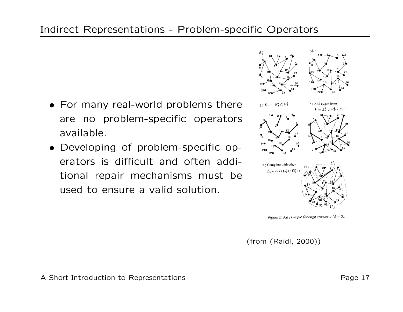- For many real-world problems there are no problem-specific operators available.
- Developing of problem-specific operators is difficult and often additional repair mechanisms must be used to ensure a valid solution.



Figure 2: An example for edge crossover  $(d = 3)$ .

(from (Raidl, 2000))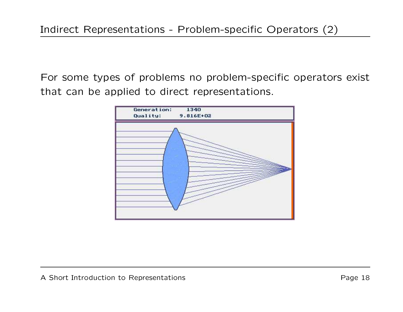For some types of problems no problem-specific operators exist that can be applied to direct representations.

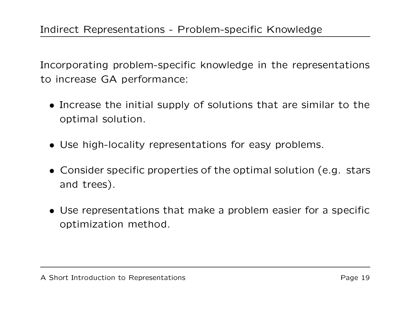Incorporating problem-specific knowledge in the representations to increase GA performance:

- Increase the initial supply of solutions that are similar to the optimal solution.
- Use high-locality representations for easy problems.
- Consider specific properties of the optimal solution (e.g. stars and trees).
- Use representations that make <sup>a</sup> problem easier for <sup>a</sup> specific optimization method.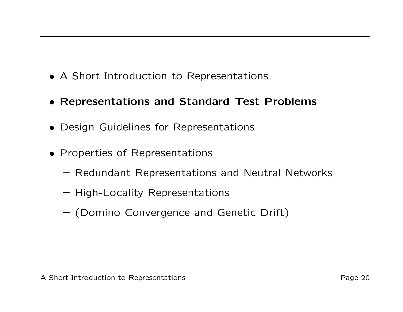- A Short Introduction to Representations
- Representations and Standard Test Problems
- Design Guidelines for Representations
- Properties of Representations
	- Redundant Representations and Neutral Networks
	- High-Locality Representations
	- (Domino Convergence and Genetic Drift)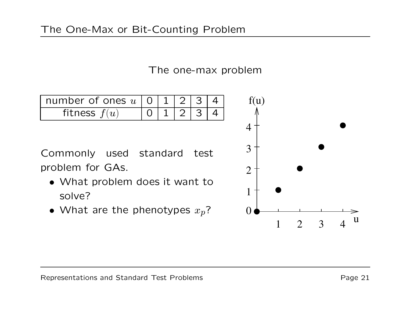## The one-max problem

| number of ones $u \mid 0 \mid 1 \mid 2 \mid$ |  |  |  |
|----------------------------------------------|--|--|--|
| fitness $f(u)$                               |  |  |  |

Commonly used standard test problem for GAs.

- What problem does it want to solve?
- $\bullet\,$  What are the phenotypes  $x_p?$

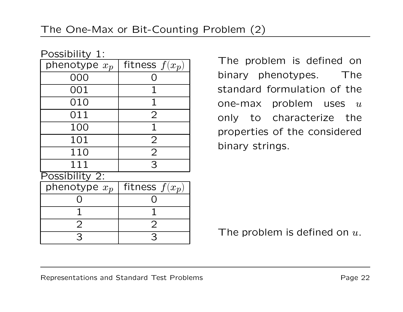| Possibility 1:  |                  |  |  |  |  |
|-----------------|------------------|--|--|--|--|
| phenotype $x_p$ | fitness $f(x_p)$ |  |  |  |  |
| 000             |                  |  |  |  |  |
| 001             |                  |  |  |  |  |
| 010             | 1                |  |  |  |  |
| 011             | $\overline{2}$   |  |  |  |  |
| 100             |                  |  |  |  |  |
| 101             | $\overline{2}$   |  |  |  |  |
| 110             | $\overline{2}$   |  |  |  |  |
| 111             | 3                |  |  |  |  |
| Possibility 2:  |                  |  |  |  |  |
| phenotype $x_p$ | fitness $f(x_p)$ |  |  |  |  |
|                 |                  |  |  |  |  |
|                 |                  |  |  |  |  |
| $\overline{2}$  | $\overline{2}$   |  |  |  |  |
| 3               | 3                |  |  |  |  |

The problem is defined on binary phenotypes. The standard formulation of the one-max problem uses  $u$ only to characterize the properties of the considered binary strings.

The problem is defined on  $u.$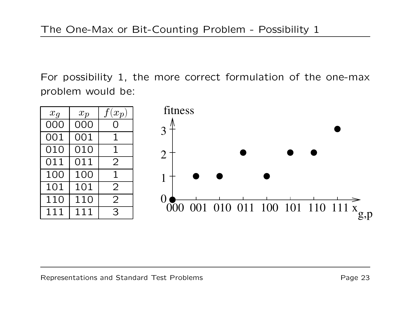For possibility 1, the more correct formulation of the one-max problem would be:

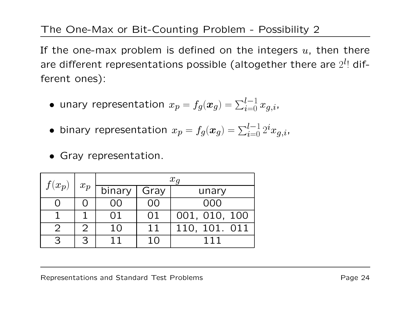# The One-Max or Bit-Counting Problem - Possibility 2

If the one-max problem is defined on the integers  $u$ , then there are different representations possible (altogether there are  $2^{\bm{l}}$ ! different ones):

- unary representation  $x_p = f_g(\boldsymbol{x}_g) = \sum_{i=0}^{l-1} x_{g,i}$ ,
- $\bullet$  binary representation  $x_p = f_g(\boldsymbol{x}_g) = \sum_{i=0}^{l-1} 2^i x_{g,i}$
- Gray representation.

| $f(x_p)$      | $x_p$ | $x_q$  |      |               |  |
|---------------|-------|--------|------|---------------|--|
|               |       | binary | Gray | unary         |  |
|               |       | ()()   | O()  | 000           |  |
|               |       | 01     | 01   | 001, 010, 100 |  |
| $\mathcal{D}$ |       | 10     | 11   | 110, 101. 011 |  |
| つ             | 3     |        |      |               |  |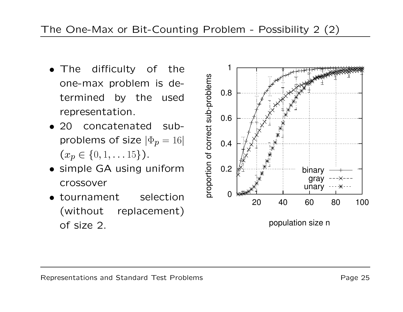- The difficulty of the one-max problem is determined by the used representation.
- 20 concatenated subproblems of size  $|\Phi_p = 16|$  $(x_p \in \{0, 1, \ldots 15\})$ .
- simple GA using uniform crossover
- tournament selection (without replacement) of size 2.



population size n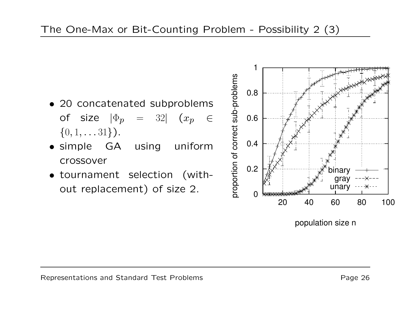- 20 concatenated subproblems of size  $|\Phi_{\bm p}|~=~~32|$   $(x_{\bm p}~~\in$  $\{0, 1, \ldots 31\}$ .
- simple GA using uniform crossover
- tournament selection (without replacement) of size 2.  $\frac{5}{6}$  0



population size n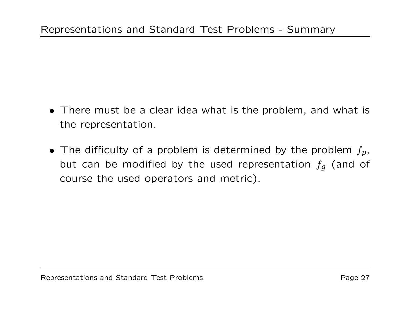- There must be a clear idea what is the problem, and what is the representation.
- $\bullet$  The difficulty of a problem is determined by the problem  $f_p$ , but can be modified by the used representation  $f_g$  (and of course the used operators and metric).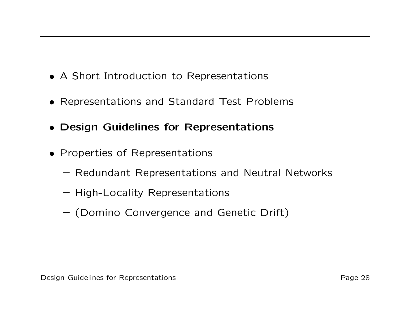- A Short Introduction to Representations
- Representations and Standard Test Problems
- Design Guidelines for Representations
- Properties of Representations
	- Redundant Representations and Neutral Networks
	- High-Locality Representations
	- (Domino Convergence and Genetic Drift)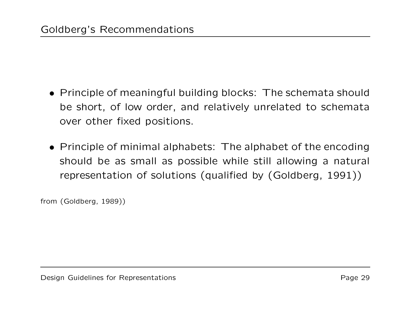- Principle of meaningful building blocks: The schemata should be short, of low order, and relatively unrelated to schemata over other fixed positions.
- Principle of minimal alphabets: The alphabet of the encoding should be as small as possible while still allowing <sup>a</sup> natural representation of solutions (qualified by (Goldberg, 1991))

from (Goldberg, 1989))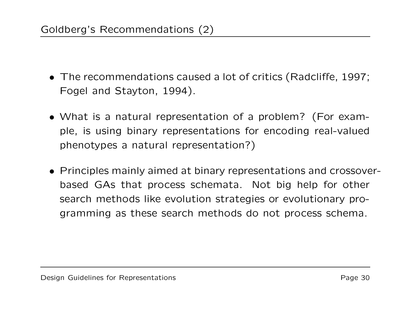- The recommendations caused <sup>a</sup> lot of critics (Radcliffe, 1997; Fogel and Stayton, 1994).
- What is a natural representation of <sup>a</sup> problem? (For example, is using binary representations for encoding real-valued phenotypes <sup>a</sup> natural representation?)
- Principles mainly aimed at binary representations and crossoverbased GAs that process schemata. Not big help for other search methods like evolution strategies or evolutionary programming as these search methods do not process schema.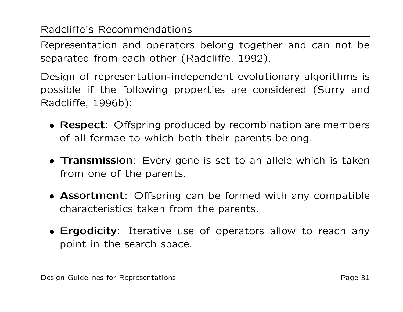# Radcliffe's Recommendations

Representation and operators belong together and can not be separated from each other (Radcliffe, 1992).

Design of representation-independent evolutionary algorithms is possible if the following properties are considered (Surry and Radcliffe, 1996b):

- Respect: Offspring produced by recombination are members of all formae to which both their parents belong.
- **Transmission**: Every gene is set to an allele which is taken from one of the parents.
- **Assortment**: Offspring can be formed with any compatible characteristics taken from the parents.
- **Ergodicity**: Iterative use of operators allow to reach any point in the search space.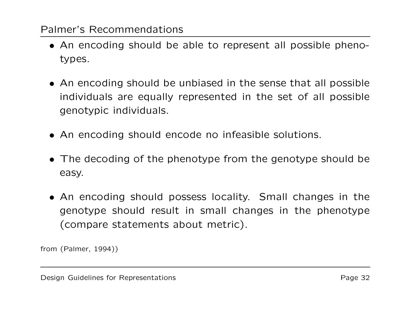## Palmer's Recommendations

- An encoding should be able to represent all possible phenotypes.
- An encoding should be unbiased in the sense that all possible individuals are equally represented in the set of all possible genotypic individuals.
- An encoding should encode no infeasible solutions.
- The decoding of the phenotype from the genotype should be easy.
- An encoding should possess locality. Small changes in the genotype should result in small changes in the phenotype (compare statements about metric).

from (Palmer, 1994))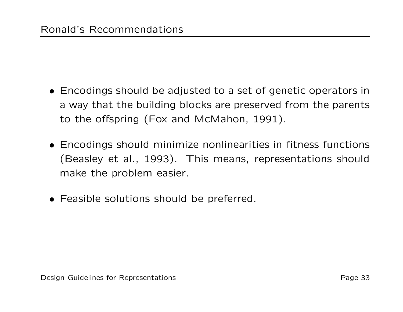- Encodings should be adjusted to <sup>a</sup> set of genetic operators in a way that the building blocks are preserved from the parents to the offspring (Fox and McMahon, 1991).
- Encodings should minimize nonlinearities in fitness functions (Beasley et al., 1993). This means, representations should make the problem easier.
- Feasible solutions should be preferred.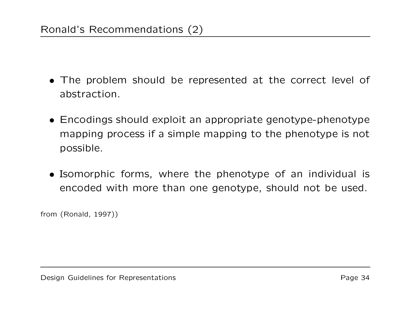- The problem should be represented at the correct level of abstraction.
- Encodings should exploit an appropriate genotype-phenotype mapping process if <sup>a</sup> simple mapping to the phenotype is not possible.
- Isomorphic forms, where the phenotype of an individual is encoded with more than one genotype, should not be used.

from (Ronald, 1997))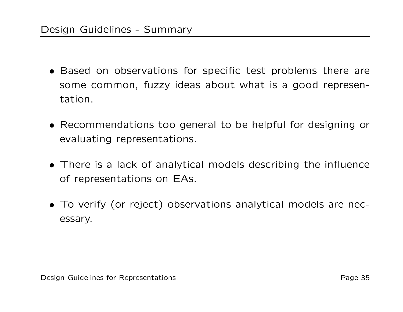- Based on observations for specific test problems there are some common, fuzzy ideas about what is <sup>a</sup> good representation.
- Recommendations too general to be helpful for designing or evaluating representations.
- There is a lack of analytical models describing the influence of representations on EAs.
- To verify (or reject) observations analytical models are necessary.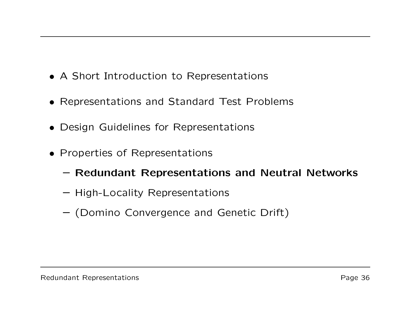- A Short Introduction to Representations
- Representations and Standard Test Problems
- Design Guidelines for Representations
- Properties of Representations
	- Redundant Representations and Neutral Networks
	- High-Locality Representations
	- (Domino Convergence and Genetic Drift)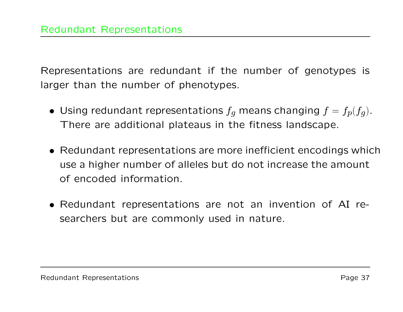Representations are redundant if the number of genotypes is larger than the number of phenotypes.

- $\bullet\,$  Using redundant representations  $f_g$  means changing  $f=f_p(f_g).$ There are additional plateaus in the fitness landscape.
- Redundant representations are more inefficient encodings which use a higher number of alleles but do not increase the amount of encoded information.
- Redundant representations are not an invention of AI researchers but are commonly used in nature.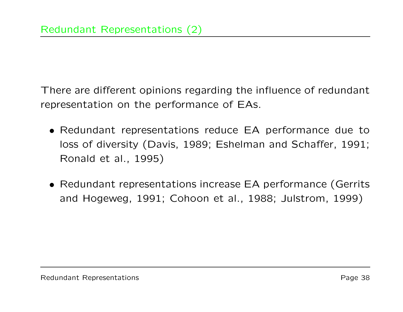There are different opinions regarding the influence of redundant representation on the performance of EAs.

- Redundant representations reduce EA performance due to loss of diversity (Davis, 1989; Eshelman and Schaffer, 1991; Ronald et al., 1995)
- Redundant representations increase EA performance (Gerrits and Hogeweg, 1991; Cohoon et al., 1988; Julstrom, 1999)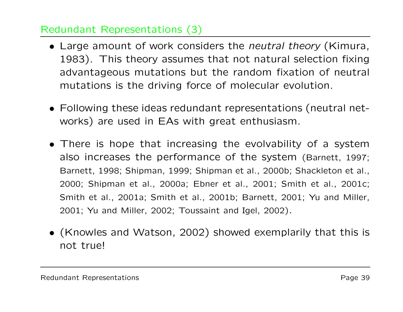## Redundant Representations (3)

- Large amount of work considers the neutral theory (Kimura, 1983). This theory assumes that not natural selection fixing advantageous mutations but the random fixation of neutral mutations is the driving force of molecular evolution.
- Following these ideas redundant representations (neutral networks) are used in EAs with great enthusiasm.
- There is hope that increasing the evolvability of <sup>a</sup> system also increases the performance of the system (Barnett, 1997; Barnett, 1998; Shipman, 1999; Shipman et al., 2000b; Shackleton et al., 2000; Shipman et al., 2000a; Ebner et al., 2001; Smith et al., 2001c; Smith et al., 2001a; Smith et al., 2001b; Barnett, 2001; Yu and Miller, 2001; Yu and Miller, 2002; Toussaint and Igel, 2002).
- (Knowles and Watson, 2002) showed exemplarily that this is not true!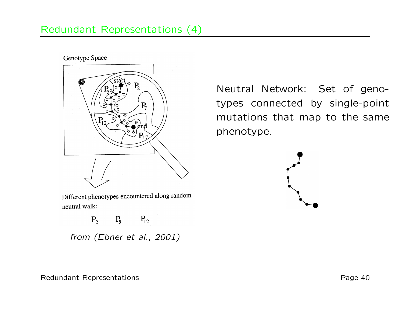### Redundant Representations (4)

#### Genotype Space



Different phenotypes encountered along random neutral walk:

 $P_2 \t P_5 \t P_{12}$ 

from (Ebner et al., 2001)

Neutral Network: Set of genotypes connected by single-point mutations that map to the same phenotype.

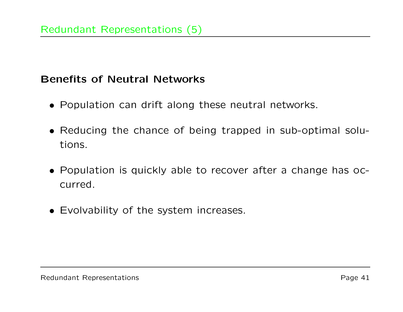#### Benefits of Neutral Networks

- Population can drift along these neutral networks.
- Reducing the chance of being trapped in sub-optimal solutions.
- Population is quickly able to recover after <sup>a</sup> change has occurred.
- Evolvability of the system increases.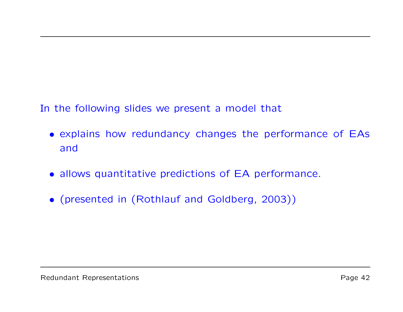In the following slides we present <sup>a</sup> model that

- explains how redundancy changes the performance of EAs and
- allows quantitative predictions of EA performance.
- (presented in (Rothlauf and Goldberg, 2003))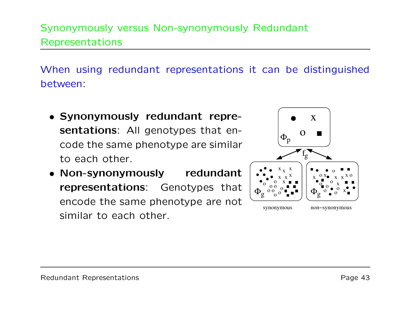# Synonymously versus Non-synonymously Redundant Representations

When using redundant representations it can be distinguished between:

- Synonymously redundant repre**sentations**: All genotypes that encode the same phenotype are similar to each other.
- Non-synonymously redundant representations: Genotypes that encode the same phenotype are not similar to each other.

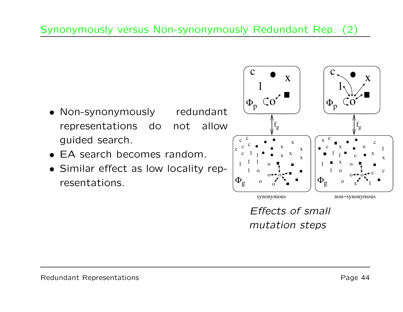- Non-synonymously redundant representations do not allow guided search.
- EA search becomes random.
- Similar effect as low locality representations.t as low locality rep-  $\left|\begin{smallmatrix} 1 & 1 & 1 & 0 & \bullet \ & 1 & 0 & 0 & \bullet \ & & 0 & 0 & \bullet \ & & & 0 & \bullet \end{smallmatrix}\right|$



Effects of small mutation steps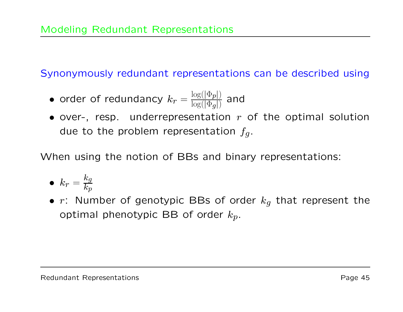Synonymously redundant representations can be described using

- • $\bullet$  order of redundancy  $k_{r} = \frac{\log(|\Phi_{p}|)}{\log(|\Phi_{g}|)}$  and
- over-, resp. underrepresentation  $r$  of the optimal solution due to the problem representation  $f_g.$

When using the notion of BBs and binary representations:

$$
\bullet \ \ k_r = \frac{k_g}{k_p}
$$

•  $r$ : Number of genotypic BBs of order  $k_g$  that represent the optimal phenotypic BB of order  $k_p$ .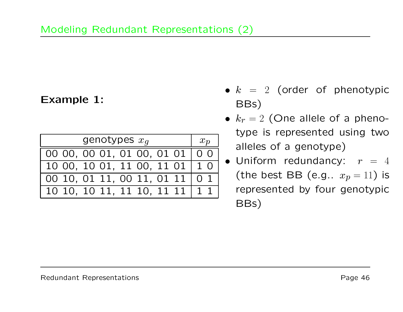## Example 1:

| genotypes $x_q$                  | $x_p$ |
|----------------------------------|-------|
| 00 00, 00 01, 01 00, 01 01   0 0 |       |
| 10 00, 10 01, 11 00, 11 01   1 0 |       |
| 00 10, 01 11, 00 11, 01 11   0 1 |       |
| 10 10, 10 11, 11 10, 11 11   1 1 |       |

- $\bullet$   $k$  =  $2$  (order of phenotypic BBs)
- $k_r = 2$  (One allele of a phenotype is represented using two alleles of a genotype)
- $\bullet$  Uniform redundancy:  $r~=~4$ (the best BB (e.g..  $x_p = 11$ ) is represented by four genotypic BBs)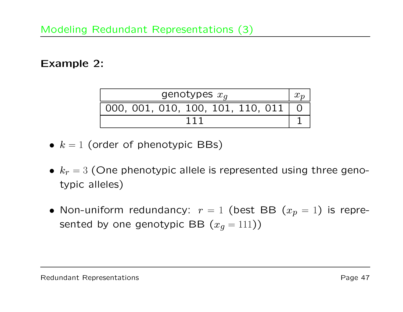#### Example 2:

| genotypes $x_q$                       |  |
|---------------------------------------|--|
| 000, 001, 010, 100, 101, 110, 011   0 |  |
|                                       |  |

- $\bullet\;$   $k=1$  (order of phenotypic BBs)
- $\bullet \; k_r = 3$  (One phenotypic allele is represented using three genotypic alleles)
- Non-uniform redundancy:  $r=1$  (best BB  $(x_p=1)$  is represented by one genotypic BB  $(x_g = 111))$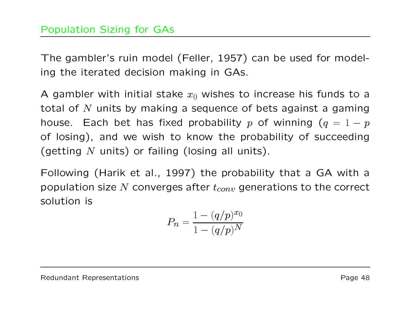The gambler's ruin model (Feller, 1957) can be used for modeling the iterated decision making in GAs.

A gambler with initial stake  $x_0$  wishes to increase his funds to a total of  $N$  units by making a sequence of bets against a gaming house. Each bet has fixed probability  $p$  of winning  $(q=1-p)$ of losing), and we wish to know the probability of succeeding (getting  $N$  units) or failing (losing all units).

Following (Harik et al., 1997) the probability that <sup>a</sup> GA with <sup>a</sup> population size N converges after  $t_{conv}$  generations to the correct solution is

$$
P_n = \frac{1 - (q/p)^{x_0}}{1 - (q/p)^N}
$$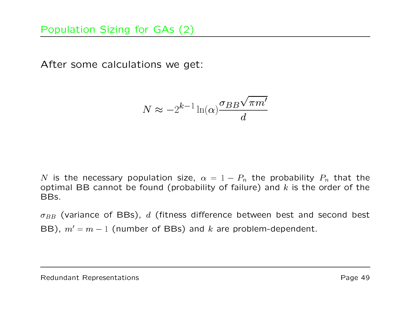After some calculations we get:

$$
N \approx -2^{k-1} \ln(\alpha) \frac{\sigma_{BB} \sqrt{\pi m'}}{d}
$$

N is the necessary population size,  $\alpha$  =  $1-P_n$  the probability  $P_n$  that the optimal BB cannot be found (probability of failure) and  $k$  is the order of the BBs.

 $\sigma_{BB}$  (variance of BBs),  $d$  (fitness difference between best and second best BB),  $m' = m - 1$  (number of BBs) and k are problem-dependent.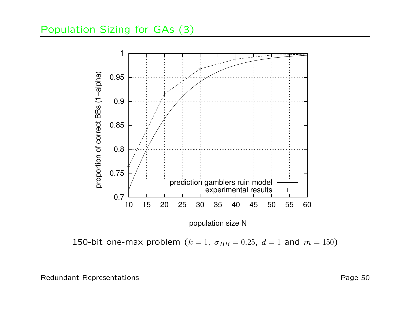#### Population Sizing for GAs (3)



<code>150-bit</code> one-max problem  $(k=1, \ \sigma_{BB} = 0.25, \ d=1$  and  $m=150)$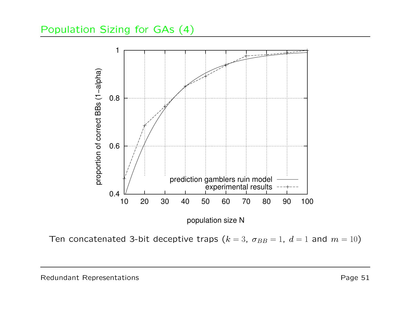#### Population Sizing for GAs (4)



Ten concatenated 3-bit deceptive traps  $(k=3,~\sigma_{BB}=1,~d=1$  and  $m=10)$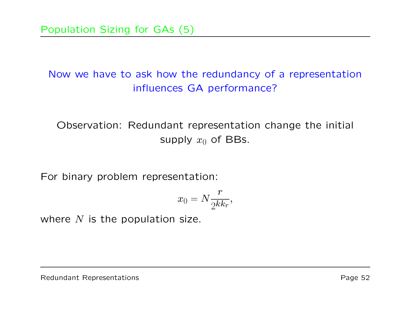# Now we have to ask how the redundancy of <sup>a</sup> representation influences GA performance?

Observation: Redundant representation change the initial supply  $x_0$  of BBs.

For binary problem representation:

$$
x_0 = N \frac{r}{2^{kk_r}},
$$

where  $N$  is the population size.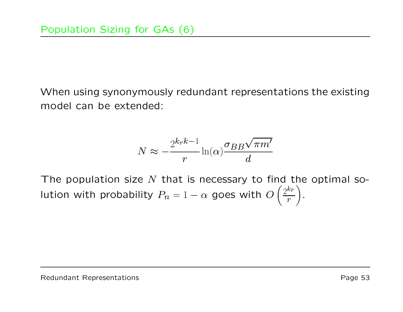When using synonymously redundant representations the existing model can be extended:

$$
N \approx -\frac{2^{k_r k - 1}}{r} \ln(\alpha) \frac{\sigma_{BB} \sqrt{\pi m'}}{d}
$$

The population size  $N$  that is necessary to find the optimal solution with probability  $P_n$  $P_n = 1 - \alpha$  goes with  $O\left(\frac{2^{k_r}}{r}\right)$ .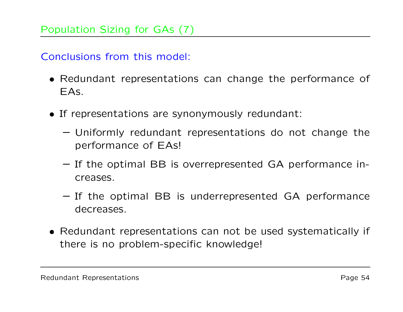Conclusions from this model:

- Redundant representations can change the performance of EAs.
- If representations are synonymously redundant:
	- Uniformly redundant representations do not change the performance of EAs!
	- If the optimal BB is overrepresented GA performance increases.
	- If the optimal BB is underrepresented GA performance decreases.
- Redundant representations can not be used systematically if there is no problem-specific knowledge!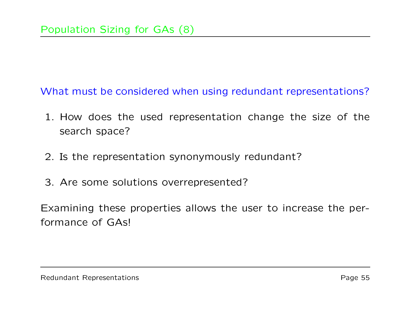What must be considered when using redundant representations?

- 1. How does the used representation change the size of the search space?
- 2. Is the representation synonymously redundant?
- 3. Are some solutions overrepresented?

Examining these properties allows the user to increase the performance of GAs!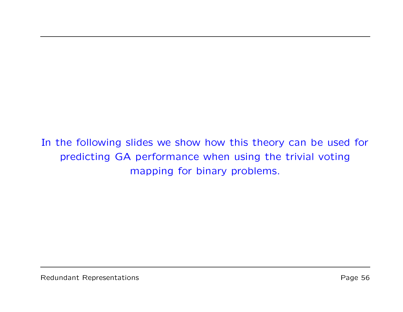In the following slides we show how this theory can be used for predicting GA performance when using the trivial voting mapping for binary problems.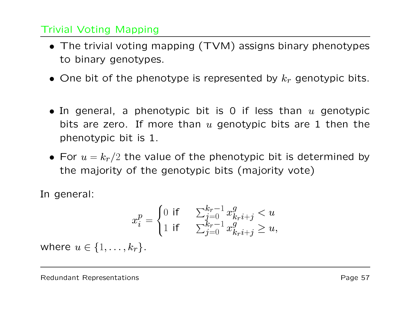#### Trivial Voting Mapping

- The trivial voting mapping (TVM) assigns binary phenotypes to binary genotypes.
- $\bullet\,$  One bit of the phenotype is represented by  $k_{r}$  genotypic bits.
- In general, a phenotypic bit is 0 if less than  $u$  genotypic bits are zero. If more than  $u$  genotypic bits are 1 then the phenotypic bit is 1.
- For  $u=k_r/2$  the value of the phenotypic bit is determined by the majority of the genotypic bits (majority vote)

In general:

$$
x_i^p = \begin{cases} 0 & \text{if } \quad \sum_{j=0}^{k_r - 1} x_{k_r i + j}^g < u \\ 1 & \text{if } \quad \sum_{j=0}^{k_r - 1} x_{k_r i + j}^g \ge u, \end{cases}
$$

where  $u \in \{1, \ldots, k_r\}$  .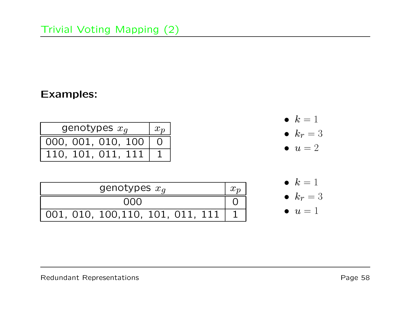#### Examples:

| genotypes $x_q$    | $x_p$    |
|--------------------|----------|
| 000, 001, 010, 100 | <b>O</b> |
| 110, 101, 011, 111 |          |

| genotypes $x_q$                       |  |
|---------------------------------------|--|
| നവ                                    |  |
| 001, 010, 100, 110, 101, 011, 111   1 |  |



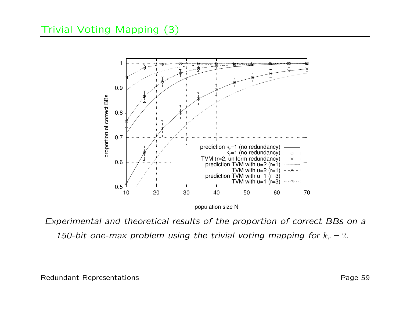### Trivial Voting Mapping (3)



population size N

Experimental and theoretical results of the proportion of correct BBs on <sup>a</sup> 150-bit one-max problem using the trivial voting mapping for  $k_r=2.$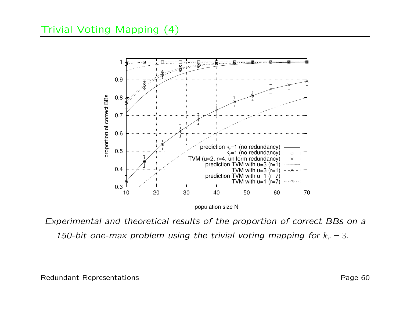

population size N

Experimental and theoretical results of the proportion of correct BBs on <sup>a</sup> 150-bit one-max problem using the trivial voting mapping for  $k_r = 3$ .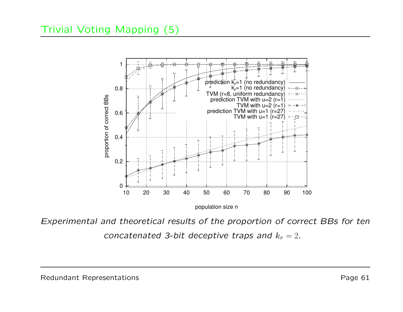#### Trivial Voting Mapping (5)



population size n

Experimental and theoretical results of the proportion of correct BBs for ten concatenated 3-bit deceptive traps and  $k_r=2.$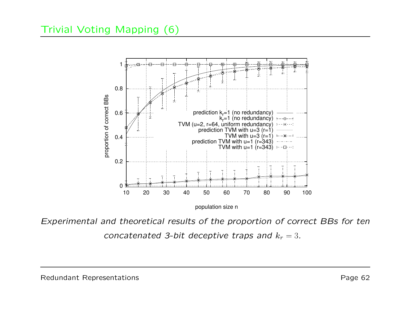### Trivial Voting Mapping (6)



population size n

Experimental and theoretical results of the proportion of correct BBs for ten concatenated 3-bit deceptive traps and  $k_r = 3$ .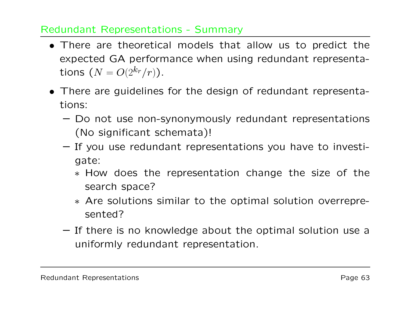#### Redundant Representations - Summary

- There are theoretical models that allow us to predict the expected GA performance when using redundant representations  $(N=O(2^{k_r}/r)).$
- There are guidelines for the design of redundant representations:
	- Do not use non-synonymously redundant representations (No significant schemata)!
	- If you use redundant representations you have to investigate:
		- ∗ How does the representation change the size of the search space?
		- ∗ Are solutions similar to the optimal solution overrepresented?
	- If there is no knowledge about the optimal solution use <sup>a</sup> uniformly redundant representation.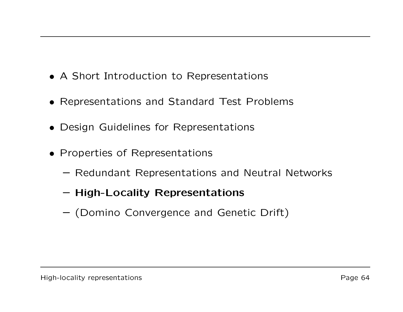- A Short Introduction to Representations
- Representations and Standard Test Problems
- Design Guidelines for Representations
- Properties of Representations
	- Redundant Representations and Neutral Networks
	- High-Locality Representations
	- (Domino Convergence and Genetic Drift)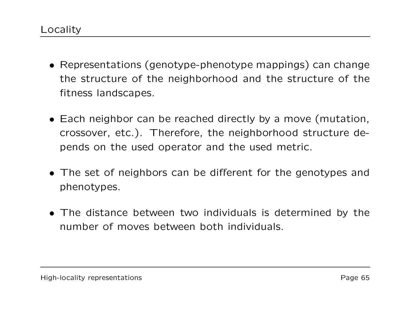- Representations (genotype-phenotype mappings) can change the structure of the neighborhood and the structure of the fitness landscapes.
- Each neighbor can be reached directly by <sup>a</sup> move (mutation, crossover, etc.). Therefore, the neighborhood structure depends on the used operator and the used metric.
- The set of neighbors can be different for the genotypes and phenotypes.
- The distance between two individuals is determined by the number of moves between both individuals.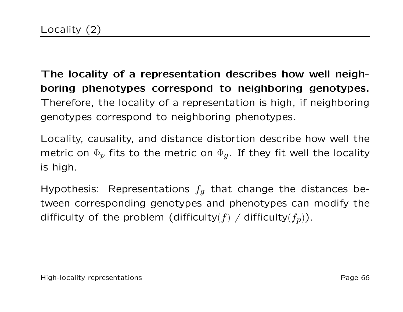The locality of <sup>a</sup> representation describes how well neighboring phenotypes correspond to neighboring genotypes. Therefore, the locality of <sup>a</sup> representation is high, if neighboring genotypes correspond to neighboring phenotypes.

Locality, causality, and distance distortion describe how well the metric on  $\Phi_{\bm p}$  fits to the metric on  $\Phi_{\bm g}.$  If they fit well the locality is high.

Hypothesis: Representations  $f_q$  that change the distances between corresponding genotypes and phenotypes can modify the difficulty of the problem (difficulty( $f$ )  $\neq$  difficulty( $f_p$ )).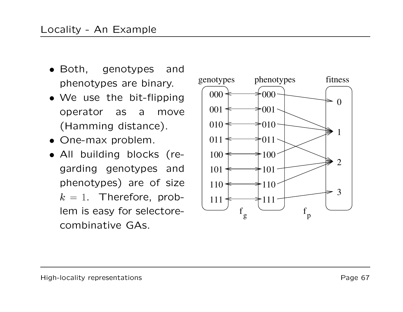- $\bullet$  Both, genotypes and phenotypes are binary.
- We use the bit-flipping operator as <sup>a</sup> move (Hamming distance).
- One-max problem.
- All building blocks (regarding genotypes and phenotypes) are of size  $k\,=\,1.$  Therefore, problem is easy for selectorecombinative GAS. erefore, prop-<br>for selectore-<br>e GAs.

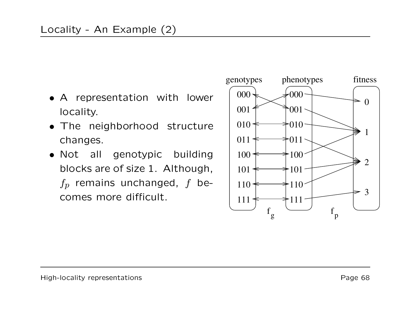- A representation with lower locality.
- The neighborhood structure changes.
- Not all genotypic building blocks are of size 1. Although,  $f_p$  remains unchanged, f becomes more difficult.  $\qquad \qquad \mid \;_{111}$

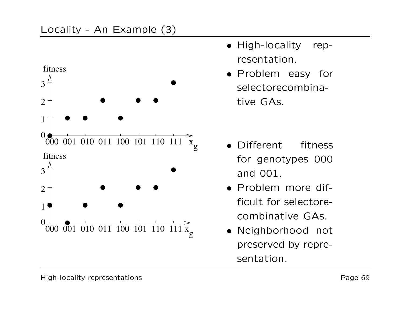

- High-locality representation.
- Problem easy for selectorecombinative GAs.

- Different fitness for genotypes 000 and 001.
- Problem more difficult for selectorecombinative GAs.
- Neighborhood not preserved by representation.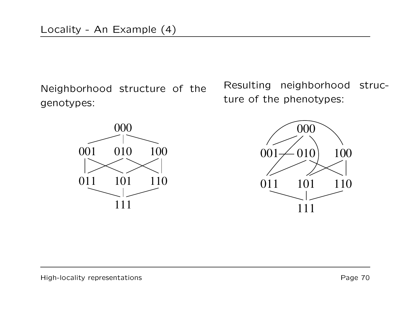Neighborhood structure of the genotypes:



Resulting neighborhood structure of the phenotypes:

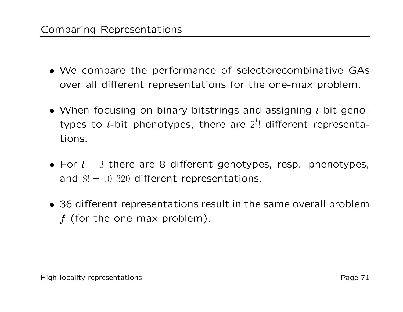- We compare the performance of selectorecombinative GAs over all different representations for the one-max problem.
- When focusing on binary bitstrings and assigning  $l$ -bit genotypes to *l*-bit phenotypes, there are  $2^{l}$ ! different representations.
- For  $l=3$  there are 8 different genotypes, resp. phenotypes, and  $8! = 40\,320$  different representations.
- 36 different representations result in the same overall problem  $f$  (for the one-max problem).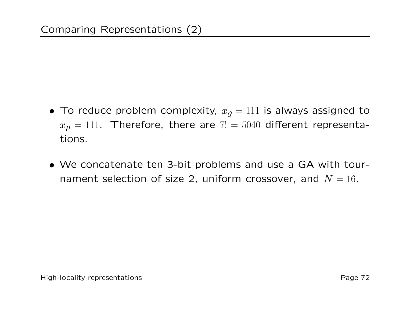- $\bullet\,$  To reduce problem complexity,  $x_g=111$  is always assigned to  $x_p = 111$ . Therefore, there are  $7! = 5040$  different representations.
- We concatenate ten 3-bit problems and use <sup>a</sup> GA with tournament selection of size 2, uniform crossover, and  $N=16.$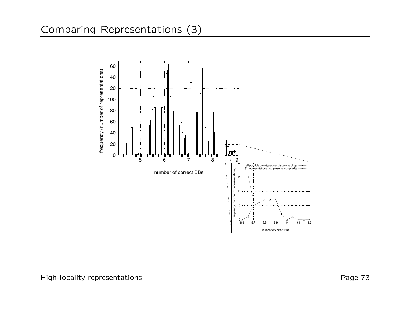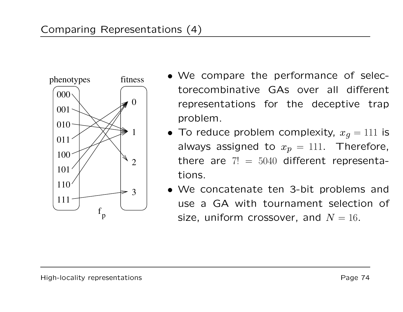

- phenotypes fitness We compare the performance of selectorecombinative GAs over all different representations for the deceptive trap problem.
	- $\bullet\,$  To reduce problem complexity,  $x_g=111$  is always assigned to  $x_p = 111$ . Therefore, there are  $7! = 5040$  different representations.
	- We concatenate ten 3-bit problems and use a GA with tournament selection of size, uniform crossover, and  $N = 16$ .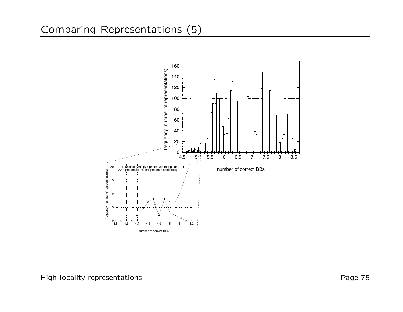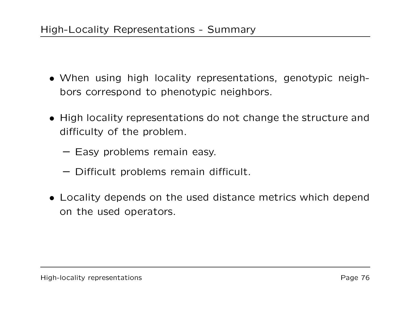- When using high locality representations, genotypic neighbors correspond to phenotypic neighbors.
- High locality representations do not change the structure and difficulty of the problem.
	- Easy problems remain easy.
	- Difficult problems remain difficult.
- Locality depends on the used distance metrics which depend on the used operators.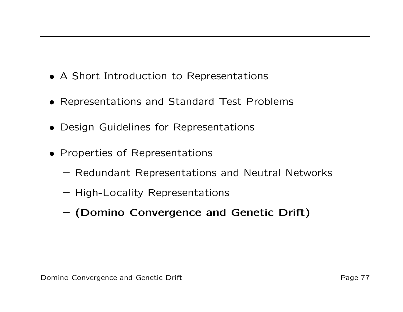- A Short Introduction to Representations
- Representations and Standard Test Problems
- Design Guidelines for Representations
- Properties of Representations
	- Redundant Representations and Neutral Networks
	- High-Locality Representations
	- (Domino Convergence and Genetic Drift)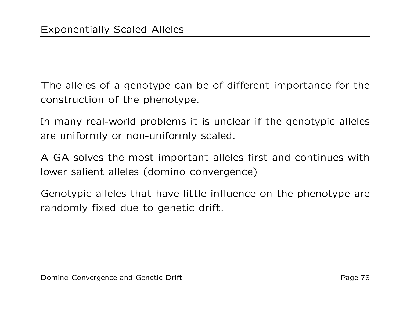The alleles of a genotype can be of different importance for the construction of the phenotype.

In many real-world problems it is unclear if the genotypic alleles are uniformly or non-uniformly scaled.

A GA solves the most important alleles first and continues with lower salient alleles (domino convergence)

Genotypic alleles that have little influence on the phenotype are randomly fixed due to genetic drift.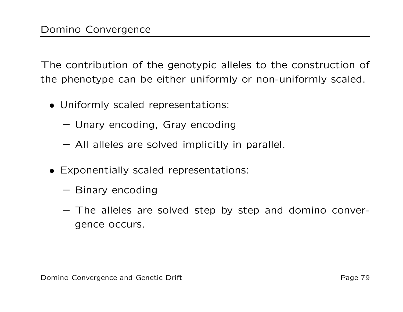The contribution of the genotypic alleles to the construction of the phenotype can be either uniformly or non-uniformly scaled.

- Uniformly scaled representations:
	- Unary encoding, Gray encoding
	- All alleles are solved implicitly in parallel.
- Exponentially scaled representations:
	- Binary encoding
	- The alleles are solved step by step and domino convergence occurs.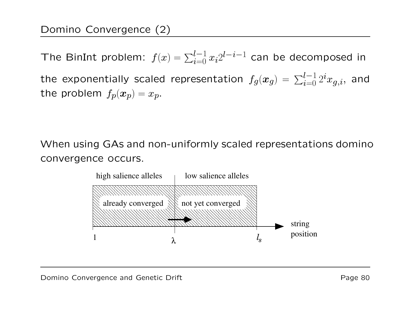The BinInt problem:  $f(x) = \sum_{i=0}^{l-1} x_i 2^{l-i-1}$  can be decomposed in the exponentially scaled representation  $f_g(\boldsymbol{x}_g) = \sum_{i=0}^{l-1} 2^i x_{g,i} ,$  and the problem  $f_p(\bm{x}_p) = x_p.$ 

When using GAs and non-uniformly scaled representations domino convergence occurs.

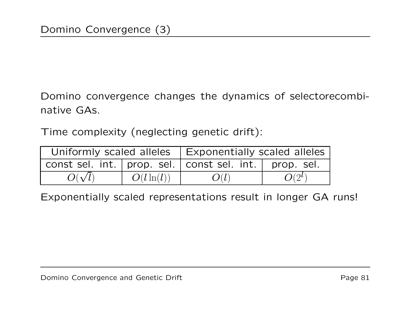Domino convergence changes the dynamics of selectorecombinative GAs.

Time complexity (neglecting genetic drift):

|               |               | Uniformly scaled alleles   Exponentially scaled alleles     |          |
|---------------|---------------|-------------------------------------------------------------|----------|
|               |               | const sel. int.   prop. sel.   const sel. int.   prop. sel. |          |
| $O(\sqrt{l})$ | $O(l \ln(l))$ | O(l)                                                        | $O(2^l)$ |

Exponentially scaled representations result in longer GA runs!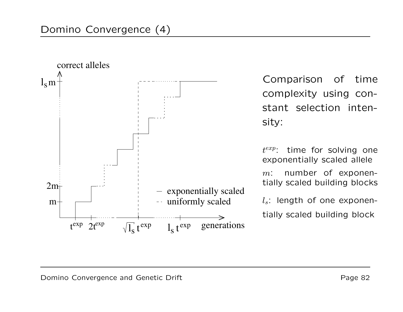

Comparison of time complexity using constant selection intensity:

 $t^{exp}$ : time for solving one exponentially scaled allele  $m$ : : number of exponentially scaled building blocks

 $l_s$ : length of one exponentially scaled building block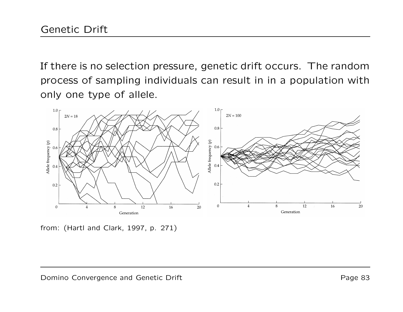If there is no selection pressure, genetic drift occurs. The random process of sampling individuals can result in in <sup>a</sup> population with only one type of allele.



from: (Hartl and Clark, 1997, p. 271)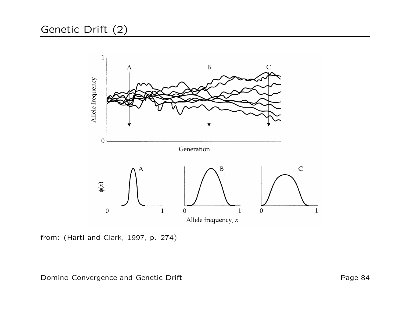## Genetic Drift (2)



from: (Hartl and Clark, 1997, p. 274)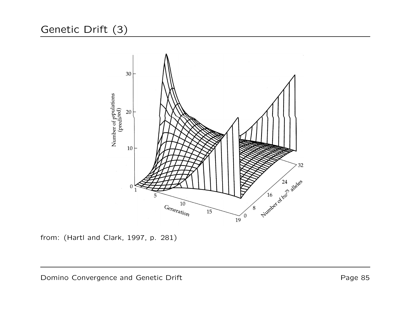## Genetic Drift (3)



from: (Hartl and Clark, 1997, p. 281)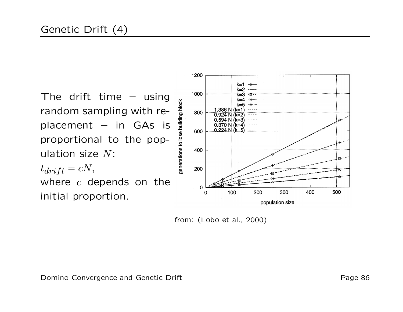The drift time – using random sampling with replacement  $-$  in GAs is proportional to the population size  $N\mathrm{:}$  $t_{drift} = cN,$ where  $\it c$  depends on the initial proportion.



from: (Lobo et al., 2000)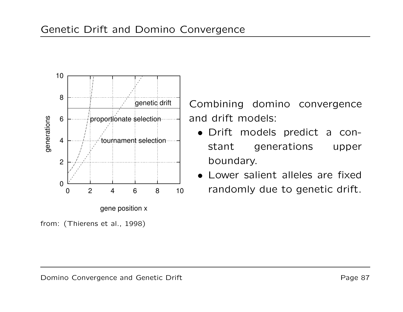



from: (Thierens et al., 1998)

Combining domino convergence and drift models:

- Drift models predict <sup>a</sup> constant generations upper boundary.
- Lower salient alleles are fixedrandomly due to genetic drift.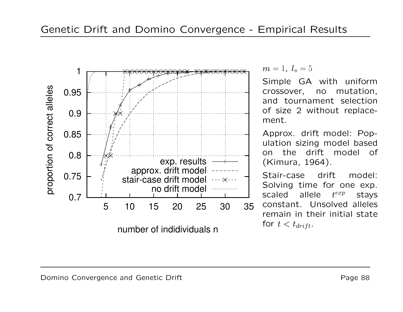

 $m = 1, l_s = 5$ 

Simple GA with uniform crossover, no mutation, and tournament selection of size 2 without replacement.

Approx. drift model: Population sizing model based on the drift model of (Kimura, 1964).

Stair-case drift model: Solving time for one exp. scaledallele  $t^{exp}$  stays constant. Unsolved alleles remain in their initial state for  $t < t_{drift}.$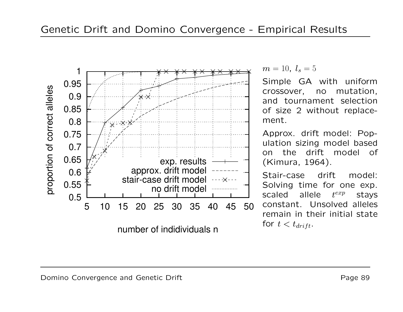

 $m = 10, l_s = 5$ 

Simple GA with uniform crossover, no mutation, and tournament selection of size 2 without replacement.

Approx. drift model: Population sizing model based on the drift model of (Kimura, 1964).

Stair-case drift model: Solving time for one exp. scaledallele  $t^{exp}$  stays constant. Unsolved alleles remain in their initial state for  $t < t_{drift}.$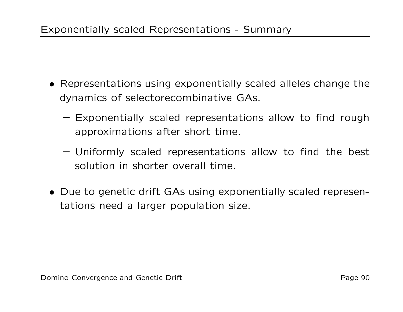- Representations using exponentially scaled alleles change the dynamics of selectorecombinative GAs.
	- Exponentially scaled representations allow to find rough approximations after short time.
	- Uniformly scaled representations allow to find the best solution in shorter overall time.
- Due to genetic drift GAs using exponentially scaled representations need <sup>a</sup> larger population size.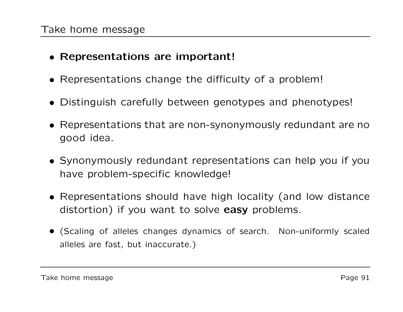## • Representations are important!

- Representations change the difficulty of <sup>a</sup> problem!
- Distinguish carefully between genotypes and phenotypes!
- Representations that are non-synonymously redundant are no good idea.
- Synonymously redundant representations can help you if you have problem-specific knowledge!
- Representations should have high locality (and low distance distortion) if you want to solve easy problems.
- (Scaling of alleles changes dynamics of search. Non-uniformly scaled alleles are fast, but inaccurate.)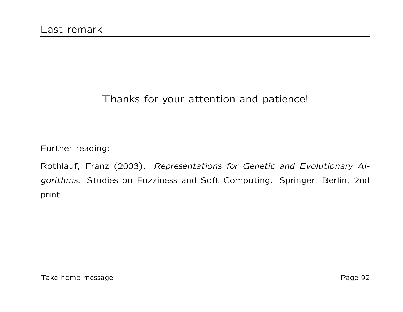## Thanks for your attention and patience!

Further reading:

Rothlauf, Franz (2003). Representations for Genetic and Evolutionary Algorithms. Studies on Fuzziness and Soft Computing. Springer, Berlin, 2nd print.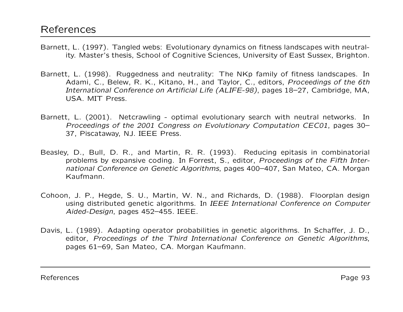- Barnett, L. (1997). Tangled webs: Evolutionary dynamics on fitness landscapes with neutrality. Master's thesis, School of Cognitive Sciences, University of East Sussex, Brighton.
- Barnett, L. (1998). Ruggedness and neutrality: The NKp family of fitness landscapes. In Adami, C., Belew, R. K., Kitano, H., and Taylor, C., editors, Proceedings of the 6th International Conference on Artificial Life (ALIFE-98), pages 18–27, Cambridge, MA, USA. MIT Press.
- Barnett, L. (2001). Netcrawling optimal evolutionary search with neutral networks. In Proceedings of the 2001 Congress on Evolutionary Computation CEC01, pages 30– 37, Piscataway, NJ. IEEE Press.
- Beasley, D., Bull, D. R., and Martin, R. R. (1993). Reducing epitasis in combinatorial problems by expansive coding. In Forrest, S., editor, Proceedings of the Fifth International Conference on Genetic Algorithms, pages 400–407, San Mateo, CA. Morgan Kaufmann.
- Cohoon, J. P., Hegde, S. U., Martin, W. N., and Richards, D. (1988). Floorplan design using distributed genetic algorithms. In IEEE International Conference on Computer Aided-Design, pages 452–455. IEEE.
- Davis, L. (1989). Adapting operator probabilities in genetic algorithms. In Schaffer, J. D., editor, Proceedings of the Third International Conference on Genetic Algorithms, pages 61–69, San Mateo, CA. Morgan Kaufmann.

References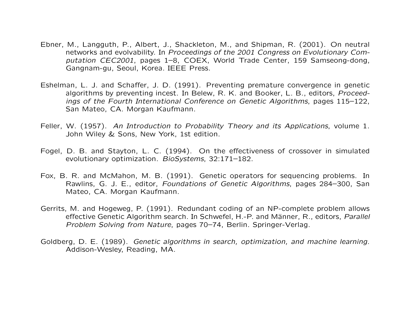- Ebner, M., Langguth, P., Albert, J., Shackleton, M., and Shipman, R. (2001). On neutral networks and evolvability. In Proceedings of the 2001 Congress on Evolutionary Computation CEC2001, pages 1–8, COEX, World Trade Center, 159 Samseong-dong, Gangnam-gu, Seoul, Korea. IEEE Press.
- Eshelman, L. J. and Schaffer, J. D. (1991). Preventing premature convergence in genetic algorithms by preventing incest. In Belew, R. K. and Booker, L. B., editors, Proceedings of the Fourth International Conference on Genetic Algorithms, pages 115–122, San Mateo, CA. Morgan Kaufmann.
- Feller, W. (1957). An Introduction to Probability Theory and its Applications, volume 1. John Wiley & Sons, New York, 1st edition.
- Fogel, D. B. and Stayton, L. C. (1994). On the effectiveness of crossover in simulated evolutionary optimization. BioSystems, 32:171–182.
- Fox, B. R. and McMahon, M. B. (1991). Genetic operators for sequencing problems. In Rawlins, G. J. E., editor, Foundations of Genetic Algorithms, pages 284–300, San Mateo, CA. Morgan Kaufmann.
- Gerrits, M. and Hogeweg, P. (1991). Redundant coding of an NP-complete problem allows effective Genetic Algorithm search. In Schwefel, H.-P. and Männer, R., editors, *Parallel* Problem Solving from Nature, pages 70–74, Berlin. Springer-Verlag.
- Goldberg, D. E. (1989). Genetic algorithms in search, optimization, and machine learning. Addison-Wesley, Reading, MA.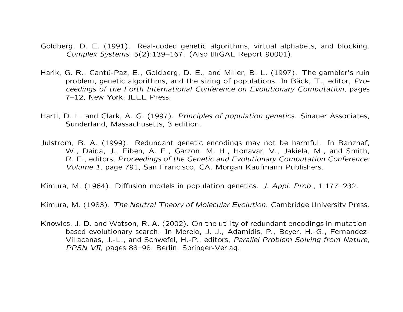- Goldberg, D. E. (1991). Real-coded genetic algorithms, virtual alphabets, and blocking. Complex Systems, 5(2):139–167. (Also IlliGAL Report 90001).
- Harik, G. R., Cantú-Paz, E., Goldberg, D. E., and Miller, B. L. (1997). The gambler's ruin problem, genetic algorithms, and the sizing of populations. In Bäck, T., editor, Proceedings of the Forth International Conference on Evolutionary Computation, pages 7–12, New York. IEEE Press.
- Hartl, D. L. and Clark, A. G. (1997). Principles of population genetics. Sinauer Associates, Sunderland, Massachusetts, 3 edition.
- Julstrom, B. A. (1999). Redundant genetic encodings may not be harmful. In Banzhaf, W., Daida, J., Eiben, A. E., Garzon, M. H., Honavar, V., Jakiela, M., and Smith, R. E., editors, Proceedings of the Genetic and Evolutionary Computation Conference: Volume 1, page 791, San Francisco, CA. Morgan Kaufmann Publishers.

Kimura, M. (1964). Diffusion models in population genetics. J. Appl. Prob., 1:177–232.

Kimura, M. (1983). The Neutral Theory of Molecular Evolution. Cambridge University Press.

Knowles, J. D. and Watson, R. A. (2002). On the utility of redundant encodings in mutationbased evolutionary search. In Merelo, J. J., Adamidis, P., Beyer, H.-G., Fernandez-Villacanas, J.-L., and Schwefel, H.-P., editors, Parallel Problem Solving from Nature, PPSN VII, pages 88–98, Berlin. Springer-Verlag.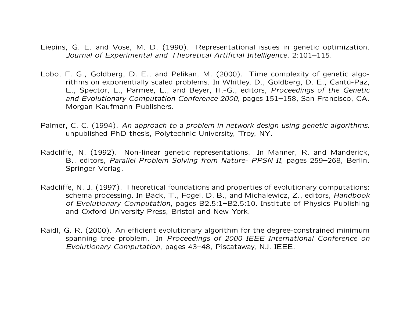- Liepins, G. E. and Vose, M. D. (1990). Representational issues in genetic optimization. Journal of Experimental and Theoretical Artificial Intelligence, 2:101–115.
- Lobo, F. G., Goldberg, D. E., and Pelikan, M. (2000). Time complexity of genetic algorithms on exponentially scaled problems. In Whitley, D., Goldberg, D. E., Cantú-Paz, E., Spector, L., Parmee, L., and Beyer, H.-G., editors, Proceedings of the Genetic and Evolutionary Computation Conference 2000, pages 151–158, San Francisco, CA. Morgan Kaufmann Publishers.
- Palmer, C. C. (1994). An approach to <sup>a</sup> problem in network design using genetic algorithms. unpublished PhD thesis, Polytechnic University, Troy, NY.
- Radcliffe, N. (1992). Non-linear genetic representations. In Männer, R. and Manderick, B., editors, Parallel Problem Solving from Nature- PPSN II, pages 259–268, Berlin. Springer-Verlag.
- Radcliffe, N. J. (1997). Theoretical foundations and properties of evolutionary computations: schema processing. In Bäck, T., Fogel, D. B., and Michalewicz, Z., editors, *Handbook* of Evolutionary Computation, pages B2.5:1–B2.5:10. Institute of Physics Publishing and Oxford University Press, Bristol and New York.
- Raidl, G. R. (2000). An efficient evolutionary algorithm for the degree-constrained minimum spanning tree problem. In Proceedings of 2000 IEEE International Conference on Evolutionary Computation, pages 43–48, Piscataway, NJ. IEEE.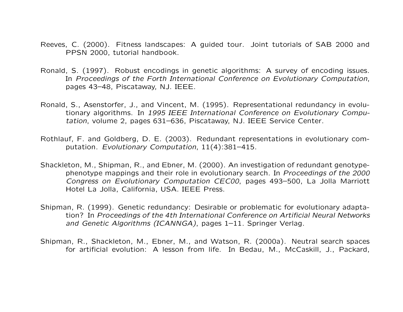- Reeves, C. (2000). Fitness landscapes: A guided tour. Joint tutorials of SAB 2000 and PPSN 2000, tutorial handbook.
- Ronald, S. (1997). Robust encodings in genetic algorithms: A survey of encoding issues. In Proceedings of the Forth International Conference on Evolutionary Computation, pages 43–48, Piscataway, NJ. IEEE.
- Ronald, S., Asenstorfer, J., and Vincent, M. (1995). Representational redundancy in evolutionary algorithms. In 1995 IEEE International Conference on Evolutionary Computation, volume 2, pages 631–636, Piscataway, NJ. IEEE Service Center.
- Rothlauf, F. and Goldberg, D. E. (2003). Redundant representations in evolutionary computation. Evolutionary Computation, 11(4):381–415.
- Shackleton, M., Shipman, R., and Ebner, M. (2000). An investigation of redundant genotypephenotype mappings and their role in evolutionary search. In Proceedings of the 2000 Congress on Evolutionary Computation CEC00, pages 493–500, La Jolla Marriott Hotel La Jolla, California, USA. IEEE Press.
- Shipman, R. (1999). Genetic redundancy: Desirable or problematic for evolutionary adaptation? In Proceedings of the 4th International Conference on Artificial Neural Networks and Genetic Algorithms (ICANNGA), pages 1–11. Springer Verlag.
- Shipman, R., Shackleton, M., Ebner, M., and Watson, R. (2000a). Neutral search spaces for artificial evolution: A lesson from life. In Bedau, M., McCaskill, J., Packard,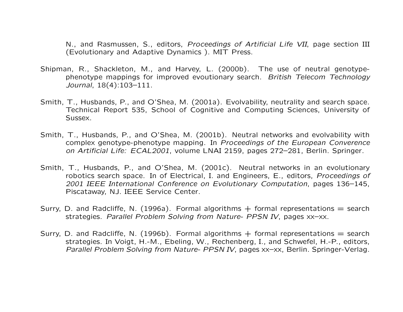N., and Rasmussen, S., editors, Proceedings of Artificial Life VII, page section III (Evolutionary and Adaptive Dynamics ). MIT Press.

- Shipman, R., Shackleton, M., and Harvey, L. (2000b). The use of neutral genotypephenotype mappings for improved evoutionary search. British Telecom Technology Journal, 18(4):103–111.
- Smith, T., Husbands, P., and O'Shea, M. (2001a). Evolvability, neutrality and search space. Technical Report 535, School of Cognitive and Computing Sciences, University of Sussex.
- Smith, T., Husbands, P., and O'Shea, M. (2001b). Neutral networks and evolvability with complex genotype-phenotype mapping. In Proceedings of the European Converence on Artificial Life: ECAL2001, volume LNAI 2159, pages 272–281, Berlin. Springer.
- Smith, T., Husbands, P., and O'Shea, M. (2001c). Neutral networks in an evolutionary robotics search space. In of Electrical, I. and Engineers, E., editors, Proceedings of 2001 IEEE International Conference on Evolutionary Computation, pages 136–145, Piscataway, NJ. IEEE Service Center.
- Surry, D. and Radcliffe, N. (1996a). Formal algorithms  $+$  formal representations  $=$  search strategies. Parallel Problem Solving from Nature- PPSN IV, pages xx–xx.
- Surry, D. and Radcliffe, N. (1996b). Formal algorithms  $+$  formal representations  $=$  search strategies. In Voigt, H.-M., Ebeling, W., Rechenberg, I., and Schwefel, H.-P., editors, Parallel Problem Solving from Nature- PPSN IV, pages xx–xx, Berlin. Springer-Verlag.